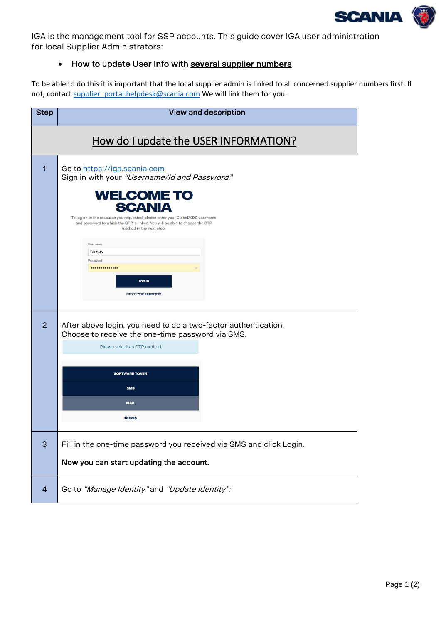

<span id="page-0-0"></span>IGA is the management tool for SSP accounts. This guide cover IGA user administration for local Supplier Administrators:

## • How to update User Info with several supplier numbers

To be able to do this it is important that the local supplier admin is linked to all concerned supplier numbers first. If not, contact supplier portal.helpdesk@scania.com We will link them for you.

| <b>Step</b>                           | <b>View and description</b>                                                                                                                                                                                                                                                                                                                                                                                    |  |
|---------------------------------------|----------------------------------------------------------------------------------------------------------------------------------------------------------------------------------------------------------------------------------------------------------------------------------------------------------------------------------------------------------------------------------------------------------------|--|
| How do I update the USER INFORMATION? |                                                                                                                                                                                                                                                                                                                                                                                                                |  |
| 1                                     | Go to https://iga.scania.com<br>Sign in with your "Username/Id and Password."<br><b>WELCOME TO</b><br><b>SCANIA</b><br>To log on to the resource you requested, please enter your Global/XDS username<br>and password to which the OTP is linked. You will be able to choose the OTP<br>method in the next step.<br><b>Username</b><br>S12345<br>Password<br><br><b>LOG IN</b><br><b>Forgot your password?</b> |  |
| 2                                     | After above login, you need to do a two-factor authentication.<br>Choose to receive the one-time password via SMS.<br>Please select an OTP method<br><b>SOFTWARE TOKEN</b><br><b>SMS</b><br><b>MAIL</b><br><b>O</b> Help                                                                                                                                                                                       |  |
| 3                                     | Fill in the one-time password you received via SMS and click Login.<br>Now you can start updating the account.                                                                                                                                                                                                                                                                                                 |  |
| $\overline{4}$                        | Go to "Manage Identity" and "Update Identity":                                                                                                                                                                                                                                                                                                                                                                 |  |